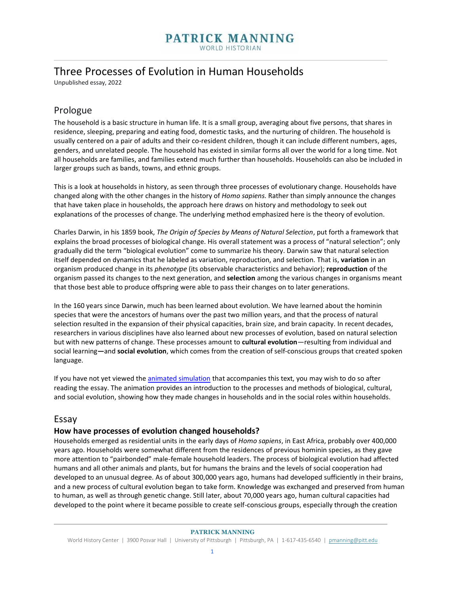## **PATRICK MANNING WORLD HISTORIAN**

## Three Processes of Evolution in Human Households

Unpublished essay, 2022

## Prologue

The household is a basic structure in human life. It is a small group, averaging about five persons, that shares in residence, sleeping, preparing and eating food, domestic tasks, and the nurturing of children. The household is usually centered on a pair of adults and their co-resident children, though it can include different numbers, ages, genders, and unrelated people. The household has existed in similar forms all over the world for a long time. Not all households are families, and families extend much further than households. Households can also be included in larger groups such as bands, towns, and ethnic groups.

This is a look at households in history, as seen through three processes of evolutionary change. Households have changed along with the other changes in the history of *Homo sapiens.* Rather than simply announce the changes that have taken place in households, the approach here draws on history and methodology to seek out explanations of the processes of change. The underlying method emphasized here is the theory of evolution.

Charles Darwin, in his 1859 book, *The Origin of Species by Means of Natural Selection*, put forth a framework that explains the broad processes of biological change. His overall statement was a process of "natural selection"; only gradually did the term "biological evolution" come to summarize his theory. Darwin saw that natural selection itself depended on dynamics that he labeled as variation, reproduction, and selection. That is, **variation** in an organism produced change in its *phenotype* (its observable characteristics and behavior); **reproduction** of the organism passed its changes to the next generation, and **selection** among the various changes in organisms meant that those best able to produce offspring were able to pass their changes on to later generations.

In the 160 years since Darwin, much has been learned about evolution. We have learned about the hominin species that were the ancestors of humans over the past two million years, and that the process of natural selection resulted in the expansion of their physical capacities, brain size, and brain capacity. In recent decades, researchers in various disciplines have also learned about new processes of evolution, based on natural selection but with new patterns of change. These processes amount to **cultural evolution**—resulting from individual and social learning**—**and **social evolution**, which comes from the creation of self-conscious groups that created spoken language.

If you have not yet viewed the **animated simulation** that accompanies this text, you may wish to do so after reading the essay. The animation provides an introduction to the processes and methods of biological, cultural, and social evolution, showing how they made changes in households and in the social roles within households.

## Essay

### **How have processes of evolution changed households?**

Households emerged as residential units in the early days of *Homo sapiens*, in East Africa, probably over 400,000 years ago. Households were somewhat different from the residences of previous hominin species, as they gave more attention to "pairbonded" male-female household leaders. The process of biological evolution had affected humans and all other animals and plants, but for humans the brains and the levels of social cooperation had developed to an unusual degree. As of about 300,000 years ago, humans had developed sufficiently in their brains, and a new process of cultural evolution began to take form. Knowledge was exchanged and preserved from human to human, as well as through genetic change. Still later, about 70,000 years ago, human cultural capacities had developed to the point where it became possible to create self-conscious groups, especially through the creation

#### **PATRICK MANNING**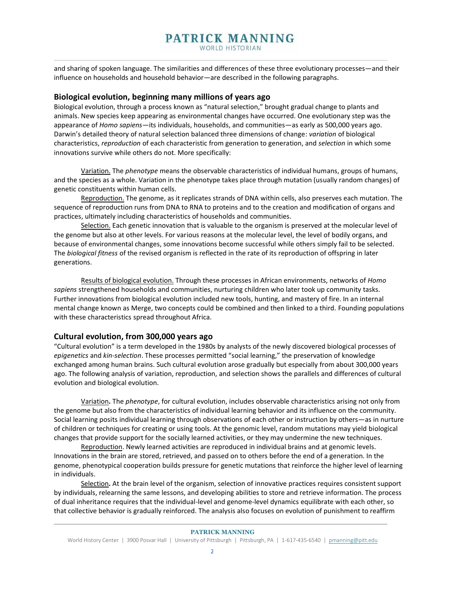# **PATRICK MANNING**

**WORLD HISTORIAN** 

and sharing of spoken language. The similarities and differences of these three evolutionary processes—and their influence on households and household behavior—are described in the following paragraphs.

### **Biological evolution, beginning many millions of years ago**

Biological evolution, through a process known as "natural selection," brought gradual change to plants and animals. New species keep appearing as environmental changes have occurred. One evolutionary step was the appearance of *Homo sapiens*—its individuals, households, and communities—as early as 500,000 years ago. Darwin's detailed theory of natural selection balanced three dimensions of change: *variation* of biological characteristics, *reproduction* of each characteristic from generation to generation, and *selection* in which some innovations survive while others do not. More specifically:

Variation. The *phenotype* means the observable characteristics of individual humans, groups of humans, and the species as a whole. Variation in the phenotype takes place through mutation (usually random changes) of genetic constituents within human cells.

Reproduction. The genome, as it replicates strands of DNA within cells, also preserves each mutation. The sequence of reproduction runs from DNA to RNA to proteins and to the creation and modification of organs and practices, ultimately including characteristics of households and communities.

Selection. Each genetic innovation that is valuable to the organism is preserved at the molecular level of the genome but also at other levels. For various reasons at the molecular level, the level of bodily organs, and because of environmental changes, some innovations become successful while others simply fail to be selected. The *biological fitness* of the revised organism is reflected in the rate of its reproduction of offspring in later generations.

Results of biological evolution. Through these processes in African environments, networks of *Homo sapiens* strengthened households and communities, nurturing children who later took up community tasks. Further innovations from biological evolution included new tools, hunting, and mastery of fire. In an internal mental change known as Merge, two concepts could be combined and then linked to a third. Founding populations with these characteristics spread throughout Africa.

### **Cultural evolution, from 300,000 years ago**

"Cultural evolution" is a term developed in the 1980s by analysts of the newly discovered biological processes of *epigenetics* and *kin-selection*. These processes permitted "social learning," the preservation of knowledge exchanged among human brains. Such cultural evolution arose gradually but especially from about 300,000 years ago. The following analysis of variation, reproduction, and selection shows the parallels and differences of cultural evolution and biological evolution.

Variation**.** The *phenotype*, for cultural evolution, includes observable characteristics arising not only from the genome but also from the characteristics of individual learning behavior and its influence on the community. Social learning posits individual learning through observations of each other or instruction by others—as in nurture of children or techniques for creating or using tools. At the genomic level, random mutations may yield biological changes that provide support for the socially learned activities, or they may undermine the new techniques.

Reproduction. Newly learned activities are reproduced in individual brains and at genomic levels. Innovations in the brain are stored, retrieved, and passed on to others before the end of a generation. In the genome, phenotypical cooperation builds pressure for genetic mutations that reinforce the higher level of learning in individuals.

Selection**.** At the brain level of the organism, selection of innovative practices requires consistent support by individuals, relearning the same lessons, and developing abilities to store and retrieve information. The process of dual inheritance requires that the individual-level and genome-level dynamics equilibrate with each other, so that collective behavior is gradually reinforced. The analysis also focuses on evolution of punishment to reaffirm

#### **PATRICK MANNING**

World History Center | 3900 Posvar Hall | University of Pittsburgh | Pittsburgh, PA | 1-617-435-6540 | [pmanning@pitt.edu](mailto:pmanning@pitt.edu)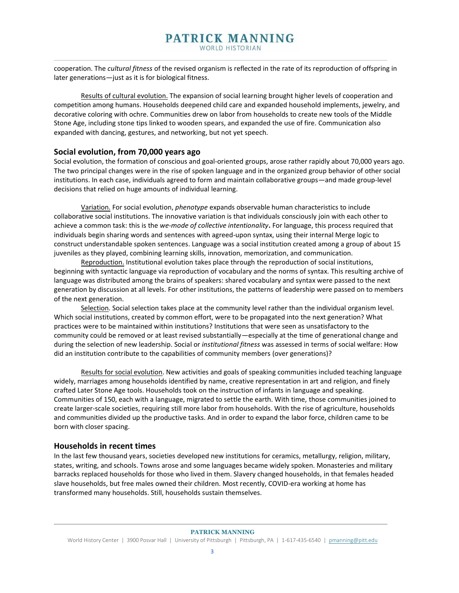cooperation. The *cultural fitness* of the revised organism is reflected in the rate of its reproduction of offspring in later generations—just as it is for biological fitness.

Results of cultural evolution. The expansion of social learning brought higher levels of cooperation and competition among humans. Households deepened child care and expanded household implements, jewelry, and decorative coloring with ochre. Communities drew on labor from households to create new tools of the Middle Stone Age, including stone tips linked to wooden spears, and expanded the use of fire. Communication also expanded with dancing, gestures, and networking, but not yet speech.

### **Social evolution, from 70,000 years ago**

Social evolution, the formation of conscious and goal-oriented groups, arose rather rapidly about 70,000 years ago. The two principal changes were in the rise of spoken language and in the organized group behavior of other social institutions. In each case, individuals agreed to form and maintain collaborative groups—and made group-level decisions that relied on huge amounts of individual learning.

Variation. For social evolution, *phenotype* expands observable human characteristics to include collaborative social institutions. The innovative variation is that individuals consciously join with each other to achieve a common task: this is the *we-mode of collective intentionality***.** For language, this process required that individuals begin sharing words and sentences with agreed-upon syntax, using their internal Merge logic to construct understandable spoken sentences. Language was a social institution created among a group of about 15 juveniles as they played, combining learning skills, innovation, memorization, and communication.

Reproduction. Institutional evolution takes place through the reproduction of social institutions, beginning with syntactic language via reproduction of vocabulary and the norms of syntax. This resulting archive of language was distributed among the brains of speakers: shared vocabulary and syntax were passed to the next generation by discussion at all levels. For other institutions, the patterns of leadership were passed on to members of the next generation.

Selection. Social selection takes place at the community level rather than the individual organism level. Which social institutions, created by common effort, were to be propagated into the next generation? What practices were to be maintained within institutions? Institutions that were seen as unsatisfactory to the community could be removed or at least revised substantially—especially at the time of generational change and during the selection of new leadership. Social or *institutional fitness* was assessed in terms of social welfare: How did an institution contribute to the capabilities of community members (over generations)?

Results for social evolution. New activities and goals of speaking communities included teaching language widely, marriages among households identified by name, creative representation in art and religion, and finely crafted Later Stone Age tools. Households took on the instruction of infants in language and speaking. Communities of 150, each with a language, migrated to settle the earth. With time, those communities joined to create larger-scale societies, requiring still more labor from households. With the rise of agriculture, households and communities divided up the productive tasks. And in order to expand the labor force, children came to be born with closer spacing.

### **Households in recent times**

In the last few thousand years, societies developed new institutions for ceramics, metallurgy, religion, military, states, writing, and schools. Towns arose and some languages became widely spoken. Monasteries and military barracks replaced households for those who lived in them. Slavery changed households, in that females headed slave households, but free males owned their children. Most recently, COVID-era working at home has transformed many households. Still, households sustain themselves.